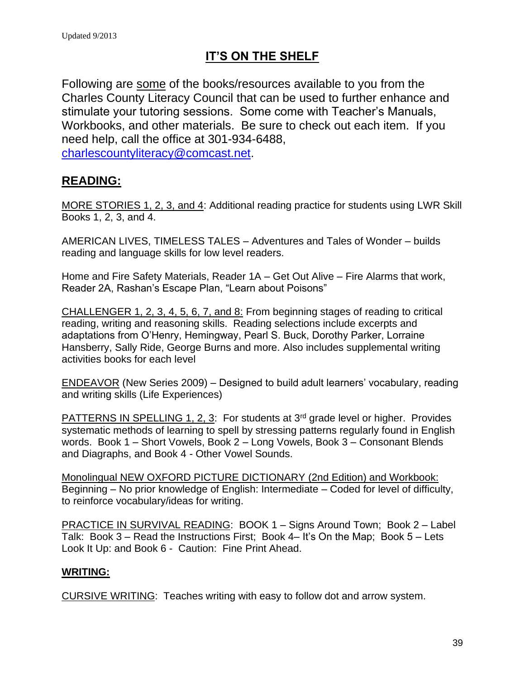# **IT'S ON THE SHELF**

Following are some of the books/resources available to you from the Charles County Literacy Council that can be used to further enhance and stimulate your tutoring sessions. Some come with Teacher's Manuals, Workbooks, and other materials. Be sure to check out each item. If you need help, call the office at 301-934-6488,

[charlescountyliteracy@comcast.net.](mailto:charlescountyliteracy@comcast.net)

## **READING:**

MORE STORIES 1, 2, 3, and 4: Additional reading practice for students using LWR Skill Books 1, 2, 3, and 4.

AMERICAN LIVES, TIMELESS TALES – Adventures and Tales of Wonder – builds reading and language skills for low level readers.

Home and Fire Safety Materials, Reader 1A – Get Out Alive – Fire Alarms that work, Reader 2A, Rashan's Escape Plan, "Learn about Poisons"

CHALLENGER 1, 2, 3, 4, 5, 6, 7, and 8: From beginning stages of reading to critical reading, writing and reasoning skills. Reading selections include excerpts and adaptations from O'Henry, Hemingway, Pearl S. Buck, Dorothy Parker, Lorraine Hansberry, Sally Ride, George Burns and more. Also includes supplemental writing activities books for each level

ENDEAVOR (New Series 2009) – Designed to build adult learners' vocabulary, reading and writing skills (Life Experiences)

PATTERNS IN SPELLING 1, 2, 3: For students at 3<sup>rd</sup> grade level or higher. Provides systematic methods of learning to spell by stressing patterns regularly found in English words. Book 1 – Short Vowels, Book 2 – Long Vowels, Book 3 – Consonant Blends and Diagraphs, and Book 4 - Other Vowel Sounds.

Monolingual NEW OXFORD PICTURE DICTIONARY (2nd Edition) and Workbook: Beginning – No prior knowledge of English: Intermediate – Coded for level of difficulty, to reinforce vocabulary/ideas for writing.

PRACTICE IN SURVIVAL READING: BOOK 1 – Signs Around Town; Book 2 – Label Talk: Book 3 – Read the Instructions First; Book 4– It's On the Map; Book 5 – Lets Look It Up: and Book 6 - Caution: Fine Print Ahead.

## **WRITING:**

CURSIVE WRITING: Teaches writing with easy to follow dot and arrow system.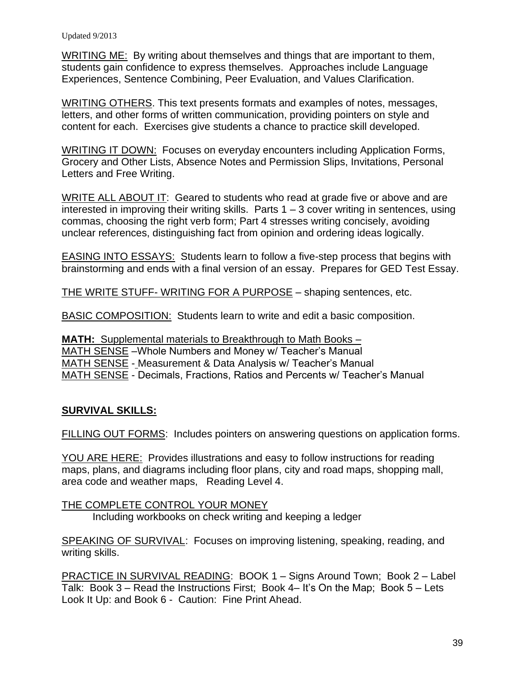WRITING ME: By writing about themselves and things that are important to them, students gain confidence to express themselves. Approaches include Language Experiences, Sentence Combining, Peer Evaluation, and Values Clarification.

WRITING OTHERS. This text presents formats and examples of notes, messages, letters, and other forms of written communication, providing pointers on style and content for each. Exercises give students a chance to practice skill developed.

WRITING IT DOWN: Focuses on everyday encounters including Application Forms, Grocery and Other Lists, Absence Notes and Permission Slips, Invitations, Personal Letters and Free Writing.

WRITE ALL ABOUT IT: Geared to students who read at grade five or above and are interested in improving their writing skills. Parts  $1 - 3$  cover writing in sentences, using commas, choosing the right verb form; Part 4 stresses writing concisely, avoiding unclear references, distinguishing fact from opinion and ordering ideas logically.

EASING INTO ESSAYS: Students learn to follow a five-step process that begins with brainstorming and ends with a final version of an essay. Prepares for GED Test Essay.

THE WRITE STUFF- WRITING FOR A PURPOSE – shaping sentences, etc.

BASIC COMPOSITION: Students learn to write and edit a basic composition.

**MATH:** Supplemental materials to Breakthrough to Math Books – MATH SENSE –Whole Numbers and Money w/ Teacher's Manual MATH SENSE - Measurement & Data Analysis w/ Teacher's Manual MATH SENSE - Decimals, Fractions, Ratios and Percents w/ Teacher's Manual

#### **SURVIVAL SKILLS:**

FILLING OUT FORMS: Includes pointers on answering questions on application forms.

YOU ARE HERE: Provides illustrations and easy to follow instructions for reading maps, plans, and diagrams including floor plans, city and road maps, shopping mall, area code and weather maps, Reading Level 4.

THE COMPLETE CONTROL YOUR MONEY Including workbooks on check writing and keeping a ledger

SPEAKING OF SURVIVAL: Focuses on improving listening, speaking, reading, and writing skills.

PRACTICE IN SURVIVAL READING: BOOK 1 – Signs Around Town; Book 2 – Label Talk: Book 3 – Read the Instructions First; Book 4– It's On the Map; Book 5 – Lets Look It Up: and Book 6 - Caution: Fine Print Ahead.